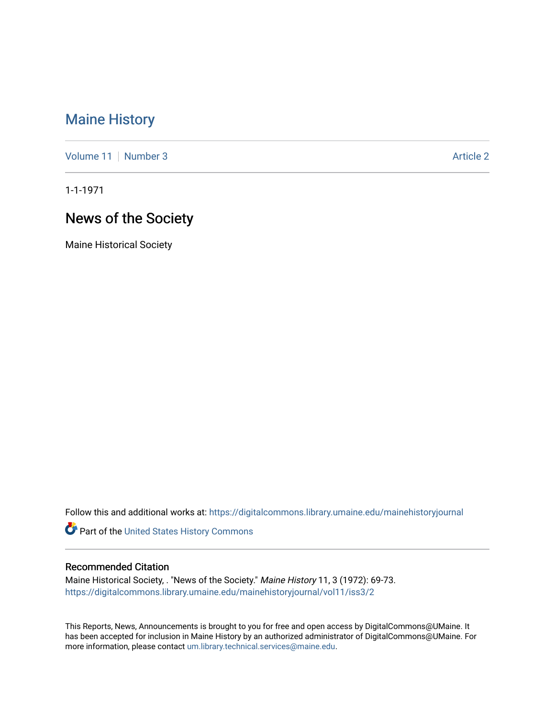## [Maine History](https://digitalcommons.library.umaine.edu/mainehistoryjournal)

[Volume 11](https://digitalcommons.library.umaine.edu/mainehistoryjournal/vol11) [Number 3](https://digitalcommons.library.umaine.edu/mainehistoryjournal/vol11/iss3) Article 2

1-1-1971

# News of the Society

Maine Historical Society

Follow this and additional works at: [https://digitalcommons.library.umaine.edu/mainehistoryjournal](https://digitalcommons.library.umaine.edu/mainehistoryjournal?utm_source=digitalcommons.library.umaine.edu%2Fmainehistoryjournal%2Fvol11%2Fiss3%2F2&utm_medium=PDF&utm_campaign=PDFCoverPages) 

Part of the [United States History Commons](http://network.bepress.com/hgg/discipline/495?utm_source=digitalcommons.library.umaine.edu%2Fmainehistoryjournal%2Fvol11%2Fiss3%2F2&utm_medium=PDF&utm_campaign=PDFCoverPages) 

#### Recommended Citation

Maine Historical Society, . "News of the Society." Maine History 11, 3 (1972): 69-73. [https://digitalcommons.library.umaine.edu/mainehistoryjournal/vol11/iss3/2](https://digitalcommons.library.umaine.edu/mainehistoryjournal/vol11/iss3/2?utm_source=digitalcommons.library.umaine.edu%2Fmainehistoryjournal%2Fvol11%2Fiss3%2F2&utm_medium=PDF&utm_campaign=PDFCoverPages)

This Reports, News, Announcements is brought to you for free and open access by DigitalCommons@UMaine. It has been accepted for inclusion in Maine History by an authorized administrator of DigitalCommons@UMaine. For more information, please contact [um.library.technical.services@maine.edu](mailto:um.library.technical.services@maine.edu).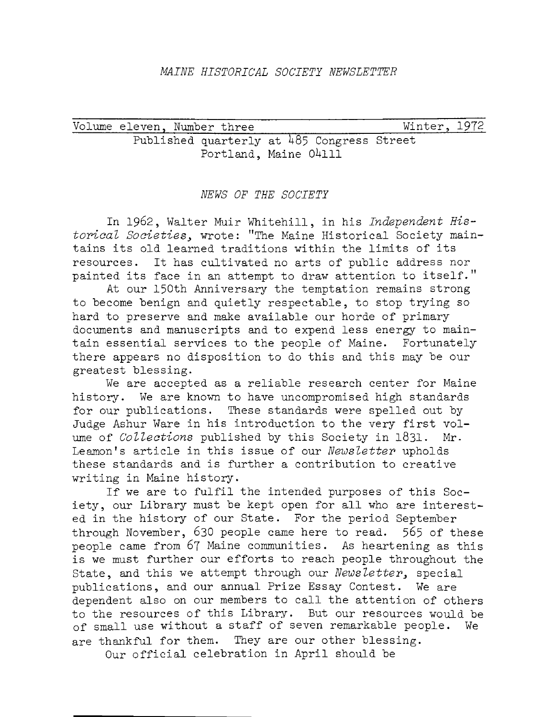Volume eleven, Number three Published quarterly at 485 Congress Street Portland, Maine 04111 Winter, 1972

#### *NEWS OF THE SOCIETY*

In 1962, Walter Muir Whitehill, in his *Independent Historical Societies,* wrote: "The Maine Historical Society maintains its old learned traditions within the limits of its resources. It has cultivated no arts of public address nor painted its face in an attempt to draw attention to itself."

At our l50th Anniversary the temptation remains strong to become benign and quietly respectable, to stop trying so hard to preserve and make available our horde of primary documents and manuscripts and to expend less energy to maintain essential services to the people of Maine. Fortunately there appears no disposition to do this and this may be our greatest blessing.

We are accepted as a reliable research center for Maine history. We are known to have uncompromised high standards for our publications. These standards were spelled out by Judge Ashur Ware in his introduction to the very first volume of *Collections* published by this Society in 1831. Mr. Leamon's article in this issue of our *Newsletter* upholds these standards and is further a contribution to creative writing in Maine history.

If we are to fulfil the intended purposes of this Society, our Library must be kept open for all who are interested in the history of our State. For the period September through November, 630 people came here to read. 565 of these people came from 67 Maine communities. As heartening as this is we must further our efforts to reach people throughout the State, and this we attempt through our *Newsletter,* special publications, and our annual Prize Essay Contest. We are dependent also on our members to call the attention of others to the resources of this Library. But our resources would be of small use without a staff of seven remarkable people. We are thankful for them. They are our other blessing.

Our official celebration in April should be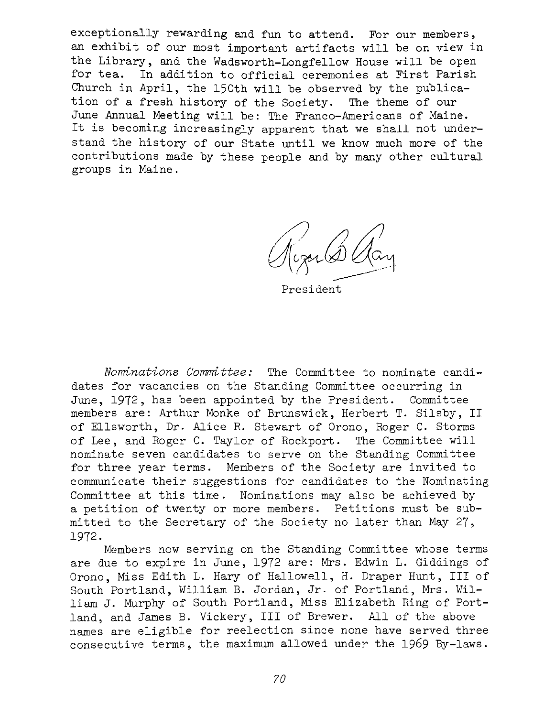exceptionally rewarding and fun to attend. For our members, an exhibit of our most important artifacts will be on view in the Library, and the Wadsworth-Longfellow House will be open for tea. In addition to official ceremonies at First Parish Church in April, the 150th will be observed by the publication of a fresh history of the Society. The theme of our June Annual Meeting will be: The Franco-Americans of Maine. It is becoming increasingly apparent that we shall not understand the history of our State until we know much more of the contributions made by these people and by many other cultural groups in Maine.

/) */)* /{) *{f(f'r'(d\_)* 10\\_~

President

*Nominations Committee:* The Committee to nominate candidates for vacancies on the Standing Committee occurring in June, 1972, has been appointed by the President. Committee members are: Arthur Monke of Brunswick, Herbert T. Silsby, II of Ellsworth, Dr. Alice R. Stewart of Orono, Roger C. Storms of Lee, and Roger C. Taylor of Rockport. The Committee will nominate seven candidates to serve on the Standing Committee for three year terms. Members of the Society are invited to communicate their suggestions for candidates to the Nominating Committee at this time. Nominations may also be achieved by a petition of twenty or more members. Petitions must be submitted to the Secretary of the Society no later than May 27, 1972.

Members now serving on the Standing Committee whose terms are due to expire in June, 1972 are: Mrs. Edwin L. Giddings of Orono, Miss Edith L. Hary of Hallowell, H. Draper Hunt, III of South Portland, William B. Jordan, Jr. of Portland, Mrs. William J. Murphy of South Portland, Miss Elizabeth Ring of Portland, and James B. Vickery, III of Brewer. All of the above names are eligible for reelection since none have served three consecutive terms, the maximum allowed under the 1969 By-laws.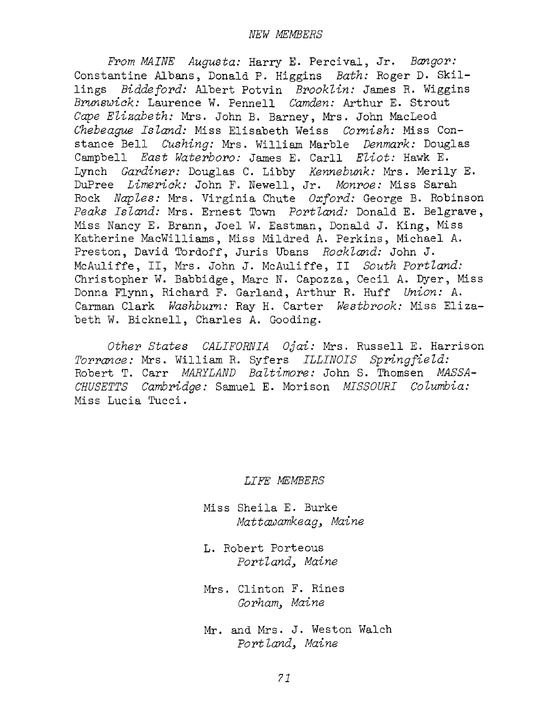*From MAINE Augusta:* Harry E. Percival, Jr. *Bangor:*  Constantine Albans, Donald P. Higgins *Bath:* Roger D. Skillings *Biddeford:* Albert Potvin *Brooklin:* James R. Wiggins *Brunswick:* Laurence W. Pennell *Camden:* Arthur E. Strout Cape Elizabeth: Mrs. John B. Barney, Mrs. John MacLeod Chebeaque *Island:* Miss Elisabeth Weiss *Cornish:* Miss Constance Bell *Cushing:* Mrs. William Marble *Denmark:* Douglas Campbell *East Waterboro:* James E. Carll *Eliot:* Hawk E. Lynch *Gardiner:* Douglas C. Libby *Kennebunk:* Mrs. Merily E. DuPree *Limerick:* John F. Newell, Jr. *Monroe:* Miss Sarah Rock *Naples: Mrs. Virginia Chute Oxford: George B. Robinson Peaks Island:* Mrs. Ernest Town *Portland:* Donald E. Belgrave, Miss Nancy E. Brann, Joel W. Eastman, Donald J. King, Miss Katherine MacWilliams, Miss Mildred A. Perkins, Michael A. Preston, David Tordoff, Juris Ubans *Rockland:* John J. McAuliffe, II, Mrs. John J. McAuliffe, II *South Portland:*  Christopher W. Babbidge, Marc N. Capozza, Cecil A. Dyer, Miss Donna Flynn, Richard F. Garland, Arthur R. Huff *Union:* A. Carman Clark *Washburn:* Ray H. Carter *Westbrook:* Miss Elizabeth W. Bicknell, Charles A. Gooding.

*Other States CALIFORNIA Ojai:* Mrs. Russell E. Harrison *Torrance:* Mrs. William R. Syfers *ILLINOIS Springfield:*  Robert T. Carr *MARYLAND Baltimore:* John S. Thomsen *MASSA-CHUSETTS Cambridge:* Samuel E. Mori son *MISSOURI Co Zumbia:*  Miss Lucia Tucci.

*LIFE MEMBERS* 

Miss Sheila E. Burke *Mattawamkeag, Maine* 

L. Robert Porteous *Portland, Maine* 

Mrs. Clinton F. Rines *Gorham, Maine* 

Mr. and Mrs. J. Weston Walch *Port Zand, Maine*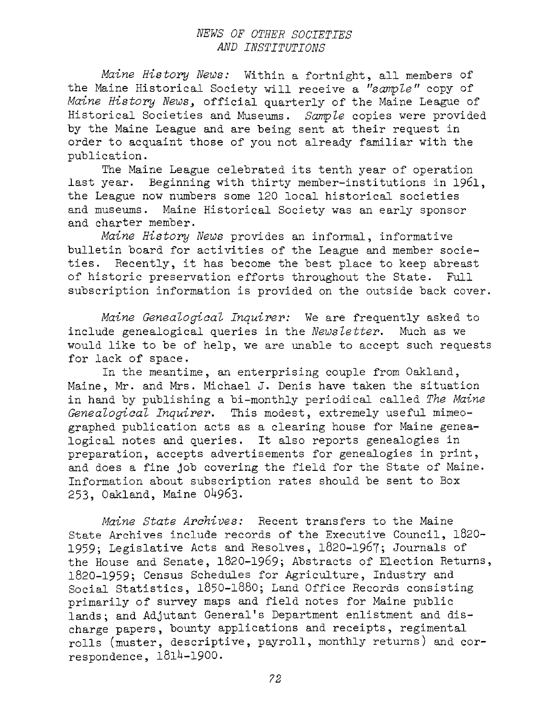### *NEWS OF OTHER SOCIETIES AND INSTITUTIONS*

*Maine History News:* Within a fortnight, all members of the Maine Historical Society will receive a *"sample"* copy of *Maine History News,* official quarterly of the Maine League of Historical Societies and Museums. *Sample* copies were provided by the Maine League and are being sent at their request in order to acquaint those of you not already familiar with the publication.

The Maine League celebrated its tenth year of operation last year. Beginning with thirty member-institutions in 1961, the League now numbers some 120 local historical societies and museums. Maine Historical Society was an early sponsor and charter member.

*Maine History News* provides an informal, informative bulletin board for activities of the League and member societies. Recently, it has become the best place to keep abreast of historic preservation efforts throughout the State. Full subscription information is provided on the outside back cover.

*Maine Genealogical Inquirer:* We are frequently asked to include genealogical queries in the *Newsletter.* Much as we would like to be of help, we are unable to accept such requests for lack of space.

In the meantime, an enterprising couple from Oakland, Maine, Mr. and Mrs. Michael J. Denis have taken the situation in hand by publishing a bi-monthly periodical called *The Maine Genealogical Inquirer.* This modest, extremely useful mimeographed publication acts as a clearing house for Maine genealogical notes and queries. It also reports genealogies in preparation, accepts advertisements for genealogies in print, and does a fine job covering the field for the State of Maine. Information about subscription rates should be sent to Box 253, Oakland, Maine 04963.

*Maine State Archives:* Recent transfers to the Maine State Archives include records of the Executive Council, 1820- 1959; Legislative Acts and Resolves, 1820-1967; Journals of the House and Senate, 1820-1969; Abstracts of Election Returns, 1820-1959; Census Schedules for Agriculture, Industry and Social Statistics, 1850-1880; Land Office Records consisting primarily of survey maps and field notes for Maine public lands; and Adjutant General's Department enlistment and discharge papers, bounty applications and receipts, regimental rolls (muster, descriptive, payroll, monthly returns) and correspondence, 1814-1900.